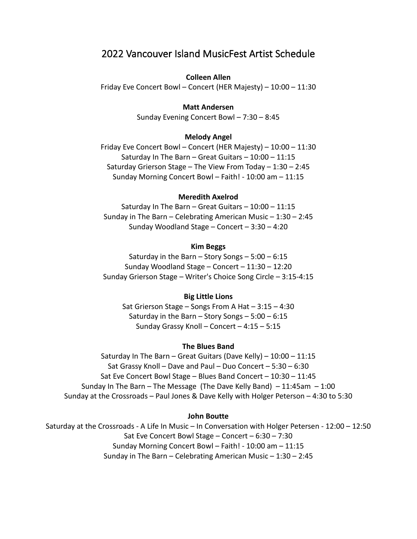# 2022 Vancouver Island MusicFest Artist Schedule

### **Colleen Allen**

Friday Eve Concert Bowl – Concert (HER Majesty) – 10:00 – 11:30

### **Matt Andersen**

Sunday Evening Concert Bowl – 7:30 – 8:45

#### **Melody Angel**

Friday Eve Concert Bowl – Concert (HER Majesty) – 10:00 – 11:30 Saturday In The Barn – Great Guitars – 10:00 – 11:15 Saturday Grierson Stage – The View From Today – 1:30 – 2:45 Sunday Morning Concert Bowl – Faith! - 10:00 am – 11:15

#### **Meredith Axelrod**

Saturday In The Barn – Great Guitars – 10:00 – 11:15 Sunday in The Barn – Celebrating American Music –  $1:30 - 2:45$ Sunday Woodland Stage – Concert – 3:30 – 4:20

## **Kim Beggs**

Saturday in the Barn – Story Songs –  $5:00 - 6:15$ Sunday Woodland Stage – Concert – 11:30 – 12:20 Sunday Grierson Stage – Writer's Choice Song Circle – 3:15-4:15

#### **Big Little Lions**

Sat Grierson Stage – Songs From A Hat – 3:15 – 4:30 Saturday in the Barn – Story Songs –  $5:00 - 6:15$ Sunday Grassy Knoll – Concert – 4:15 – 5:15

#### **The Blues Band**

Saturday In The Barn – Great Guitars (Dave Kelly) – 10:00 – 11:15 Sat Grassy Knoll – Dave and Paul – Duo Concert – 5:30 – 6:30 Sat Eve Concert Bowl Stage – Blues Band Concert – 10:30 – 11:45 Sunday In The Barn – The Message (The Dave Kelly Band) – 11:45am – 1:00 Sunday at the Crossroads – Paul Jones & Dave Kelly with Holger Peterson – 4:30 to 5:30

### **John Boutte**

Saturday at the Crossroads - A Life In Music – In Conversation with Holger Petersen - 12:00 – 12:50 Sat Eve Concert Bowl Stage – Concert – 6:30 – 7:30 Sunday Morning Concert Bowl – Faith! - 10:00 am – 11:15 Sunday in The Barn – Celebrating American Music – 1:30 – 2:45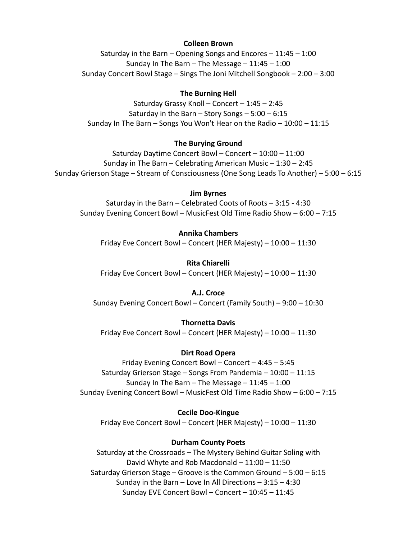### **Colleen Brown**

Saturday in the Barn – Opening Songs and Encores – 11:45 – 1:00 Sunday In The Barn – The Message –  $11:45 - 1:00$ Sunday Concert Bowl Stage – Sings The Joni Mitchell Songbook – 2:00 – 3:00

# **The Burning Hell**

Saturday Grassy Knoll – Concert – 1:45 – 2:45 Saturday in the Barn – Story Songs –  $5:00 - 6:15$ Sunday In The Barn – Songs You Won't Hear on the Radio – 10:00 – 11:15

### **The Burying Ground**

Saturday Daytime Concert Bowl – Concert – 10:00 – 11:00 Sunday in The Barn – Celebrating American Music – 1:30 – 2:45 Sunday Grierson Stage – Stream of Consciousness (One Song Leads To Another) – 5:00 – 6:15

### **Jim Byrnes**

Saturday in the Barn – Celebrated Coots of Roots – 3:15 - 4:30 Sunday Evening Concert Bowl – MusicFest Old Time Radio Show – 6:00 – 7:15

# **Annika Chambers**

Friday Eve Concert Bowl – Concert (HER Majesty) – 10:00 – 11:30

### **Rita Chiarelli**

Friday Eve Concert Bowl – Concert (HER Majesty) – 10:00 – 11:30

# **A.J. Croce**

Sunday Evening Concert Bowl – Concert (Family South) – 9:00 – 10:30

### **Thornetta Davis**

Friday Eve Concert Bowl – Concert (HER Majesty) – 10:00 – 11:30

### **Dirt Road Opera**

Friday Evening Concert Bowl – Concert – 4:45 – 5:45 Saturday Grierson Stage – Songs From Pandemia – 10:00 – 11:15 Sunday In The Barn – The Message –  $11:45 - 1:00$ Sunday Evening Concert Bowl – MusicFest Old Time Radio Show – 6:00 – 7:15

#### **Cecile Doo-Kingue**

Friday Eve Concert Bowl – Concert (HER Majesty) – 10:00 – 11:30

### **Durham County Poets**

Saturday at the Crossroads – The Mystery Behind Guitar Soling with David Whyte and Rob Macdonald – 11:00 – 11:50 Saturday Grierson Stage – Groove is the Common Ground – 5:00 – 6:15 Sunday in the Barn – Love In All Directions – 3:15 – 4:30 Sunday EVE Concert Bowl – Concert – 10:45 – 11:45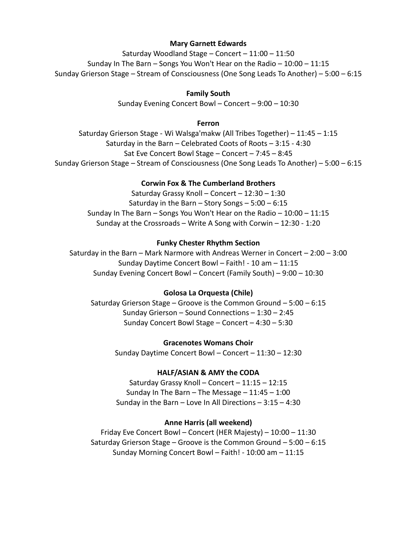# **Mary Garnett Edwards**

Saturday Woodland Stage – Concert – 11:00 – 11:50 Sunday In The Barn – Songs You Won't Hear on the Radio – 10:00 – 11:15 Sunday Grierson Stage – Stream of Consciousness (One Song Leads To Another) – 5:00 – 6:15

# **Family South**

Sunday Evening Concert Bowl – Concert – 9:00 – 10:30

### **Ferron**

Saturday Grierson Stage - Wi Walsga'makw (All Tribes Together) – 11:45 – 1:15 Saturday in the Barn – Celebrated Coots of Roots – 3:15 - 4:30 Sat Eve Concert Bowl Stage – Concert – 7:45 – 8:45 Sunday Grierson Stage – Stream of Consciousness (One Song Leads To Another) – 5:00 – 6:15

## **Corwin Fox & The Cumberland Brothers**

Saturday Grassy Knoll – Concert – 12:30 – 1:30 Saturday in the Barn – Story Songs –  $5:00 - 6:15$ Sunday In The Barn – Songs You Won't Hear on the Radio – 10:00 – 11:15 Sunday at the Crossroads – Write A Song with Corwin – 12:30 - 1:20

### **Funky Chester Rhythm Section**

Saturday in the Barn – Mark Narmore with Andreas Werner in Concert – 2:00 – 3:00 Sunday Daytime Concert Bowl – Faith! - 10 am – 11:15 Sunday Evening Concert Bowl – Concert (Family South) – 9:00 – 10:30

#### **Golosa La Orquesta (Chile)**

Saturday Grierson Stage – Groove is the Common Ground – 5:00 – 6:15 Sunday Grierson – Sound Connections – 1:30 – 2:45 Sunday Concert Bowl Stage – Concert – 4:30 – 5:30

**Gracenotes Womans Choir** 

Sunday Daytime Concert Bowl – Concert – 11:30 – 12:30

#### **HALF/ASIAN & AMY the CODA**

Saturday Grassy Knoll – Concert – 11:15 – 12:15 Sunday In The Barn – The Message –  $11:45 - 1:00$ Sunday in the Barn – Love In All Directions – 3:15 – 4:30

## **Anne Harris (all weekend)**

Friday Eve Concert Bowl – Concert (HER Majesty) – 10:00 – 11:30 Saturday Grierson Stage – Groove is the Common Ground – 5:00 – 6:15 Sunday Morning Concert Bowl – Faith! - 10:00 am – 11:15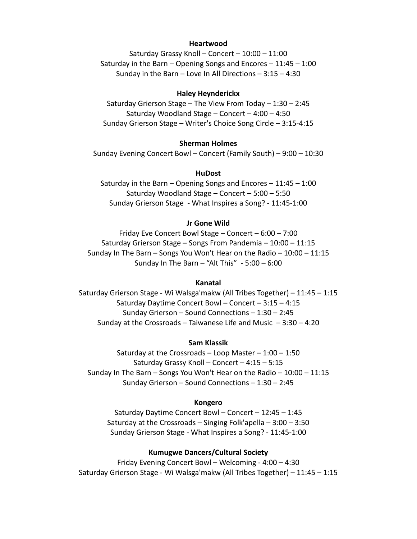#### **Heartwood**

Saturday Grassy Knoll – Concert – 10:00 – 11:00 Saturday in the Barn – Opening Songs and Encores – 11:45 – 1:00 Sunday in the Barn – Love In All Directions – 3:15 – 4:30

#### **Haley Heynderickx**

Saturday Grierson Stage – The View From Today – 1:30 – 2:45 Saturday Woodland Stage – Concert – 4:00 – 4:50 Sunday Grierson Stage – Writer's Choice Song Circle – 3:15-4:15

#### **Sherman Holmes**

Sunday Evening Concert Bowl – Concert (Family South) – 9:00 – 10:30

### **HuDost**

Saturday in the Barn – Opening Songs and Encores – 11:45 – 1:00 Saturday Woodland Stage – Concert – 5:00 – 5:50 Sunday Grierson Stage - What Inspires a Song? - 11:45-1:00

#### **Jr Gone Wild**

Friday Eve Concert Bowl Stage – Concert – 6:00 – 7:00 Saturday Grierson Stage – Songs From Pandemia – 10:00 – 11:15 Sunday In The Barn – Songs You Won't Hear on the Radio – 10:00 – 11:15 Sunday In The Barn – "Alt This" - 5:00 – 6:00

#### **Kanatal**

Saturday Grierson Stage - Wi Walsga'makw (All Tribes Together) – 11:45 – 1:15 Saturday Daytime Concert Bowl – Concert – 3:15 – 4:15 Sunday Grierson – Sound Connections – 1:30 – 2:45 Sunday at the Crossroads – Taiwanese Life and Music  $-3:30 - 4:20$ 

#### **Sam Klassik**

Saturday at the Crossroads – Loop Master –  $1:00 - 1:50$ Saturday Grassy Knoll – Concert – 4:15 – 5:15 Sunday In The Barn – Songs You Won't Hear on the Radio – 10:00 – 11:15 Sunday Grierson – Sound Connections – 1:30 – 2:45

### **Kongero**

Saturday Daytime Concert Bowl – Concert – 12:45 – 1:45 Saturday at the Crossroads – Singing Folk'apella – 3:00 – 3:50 Sunday Grierson Stage - What Inspires a Song? - 11:45-1:00

# **Kumugwe Dancers/Cultural Society**

Friday Evening Concert Bowl – Welcoming - 4:00 – 4:30 Saturday Grierson Stage - Wi Walsga'makw (All Tribes Together) – 11:45 – 1:15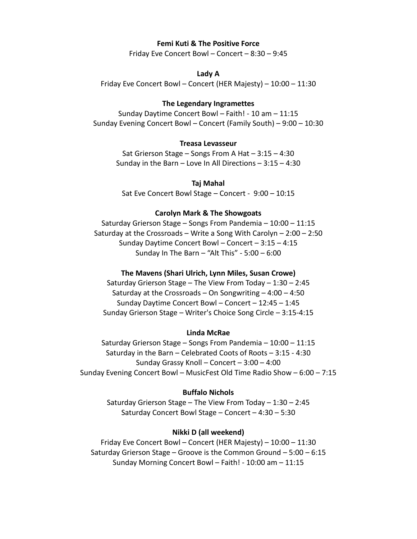#### **Femi Kuti & The Positive Force**

Friday Eve Concert Bowl – Concert – 8:30 – 9:45

#### **Lady A**

Friday Eve Concert Bowl – Concert (HER Majesty) – 10:00 – 11:30

#### **The Legendary Ingramettes**

Sunday Daytime Concert Bowl – Faith! - 10 am – 11:15 Sunday Evening Concert Bowl – Concert (Family South) – 9:00 – 10:30

#### **Treasa Levasseur**

Sat Grierson Stage – Songs From A Hat – 3:15 – 4:30 Sunday in the Barn – Love In All Directions – 3:15 – 4:30

### **Taj Mahal**

Sat Eve Concert Bowl Stage – Concert - 9:00 – 10:15

#### **Carolyn Mark & The Showgoats**

Saturday Grierson Stage – Songs From Pandemia – 10:00 – 11:15 Saturday at the Crossroads – Write a Song With Carolyn – 2:00 – 2:50 Sunday Daytime Concert Bowl – Concert – 3:15 – 4:15 Sunday In The Barn – "Alt This" - 5:00 – 6:00

#### **The Mavens (Shari Ulrich, Lynn Miles, Susan Crowe)**

Saturday Grierson Stage – The View From Today – 1:30 – 2:45 Saturday at the Crossroads – On Songwriting  $-4:00 - 4:50$ Sunday Daytime Concert Bowl – Concert – 12:45 – 1:45 Sunday Grierson Stage – Writer's Choice Song Circle – 3:15-4:15

### **Linda McRae**

Saturday Grierson Stage – Songs From Pandemia – 10:00 – 11:15 Saturday in the Barn – Celebrated Coots of Roots – 3:15 - 4:30 Sunday Grassy Knoll – Concert – 3:00 – 4:00 Sunday Evening Concert Bowl – MusicFest Old Time Radio Show – 6:00 – 7:15

### **Buffalo Nichols**

Saturday Grierson Stage – The View From Today – 1:30 – 2:45 Saturday Concert Bowl Stage – Concert – 4:30 – 5:30

### **Nikki D (all weekend)**

Friday Eve Concert Bowl – Concert (HER Majesty) – 10:00 – 11:30 Saturday Grierson Stage – Groove is the Common Ground – 5:00 – 6:15 Sunday Morning Concert Bowl – Faith! - 10:00 am – 11:15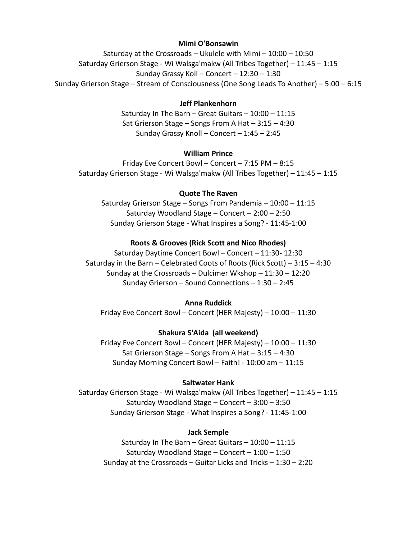### **Mimi O'Bonsawin**

Saturday at the Crossroads – Ukulele with Mimi – 10:00 – 10:50 Saturday Grierson Stage - Wi Walsga'makw (All Tribes Together) – 11:45 – 1:15 Sunday Grassy Koll – Concert – 12:30 – 1:30 Sunday Grierson Stage – Stream of Consciousness (One Song Leads To Another) – 5:00 – 6:15

## **Jeff Plankenhorn**

Saturday In The Barn – Great Guitars – 10:00 – 11:15 Sat Grierson Stage – Songs From A Hat – 3:15 – 4:30 Sunday Grassy Knoll – Concert – 1:45 – 2:45

### **William Prince**

Friday Eve Concert Bowl – Concert – 7:15 PM – 8:15 Saturday Grierson Stage - Wi Walsga'makw (All Tribes Together) – 11:45 – 1:15

# **Quote The Raven**

Saturday Grierson Stage – Songs From Pandemia – 10:00 – 11:15 Saturday Woodland Stage – Concert – 2:00 – 2:50 Sunday Grierson Stage - What Inspires a Song? - 11:45-1:00

### **Roots & Grooves (Rick Scott and Nico Rhodes)**

Saturday Daytime Concert Bowl – Concert – 11:30- 12:30 Saturday in the Barn – Celebrated Coots of Roots (Rick Scott) – 3:15 – 4:30 Sunday at the Crossroads – Dulcimer Wkshop – 11:30 – 12:20 Sunday Grierson – Sound Connections – 1:30 – 2:45

### **Anna Ruddick**

Friday Eve Concert Bowl – Concert (HER Majesty) – 10:00 – 11:30

### **Shakura S'Aida (all weekend)**

Friday Eve Concert Bowl – Concert (HER Majesty) – 10:00 – 11:30 Sat Grierson Stage – Songs From A Hat – 3:15 – 4:30 Sunday Morning Concert Bowl – Faith! - 10:00 am – 11:15

#### **Saltwater Hank**

Saturday Grierson Stage - Wi Walsga'makw (All Tribes Together) – 11:45 – 1:15 Saturday Woodland Stage – Concert – 3:00 – 3:50 Sunday Grierson Stage - What Inspires a Song? - 11:45-1:00

### **Jack Semple**

Saturday In The Barn – Great Guitars – 10:00 – 11:15 Saturday Woodland Stage – Concert – 1:00 – 1:50 Sunday at the Crossroads – Guitar Licks and Tricks – 1:30 – 2:20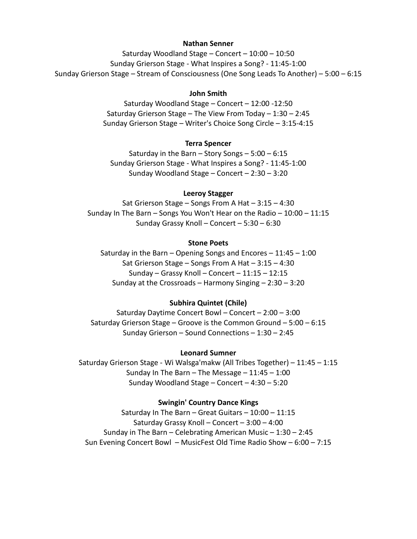#### **Nathan Senner**

Saturday Woodland Stage – Concert – 10:00 – 10:50 Sunday Grierson Stage - What Inspires a Song? - 11:45-1:00 Sunday Grierson Stage – Stream of Consciousness (One Song Leads To Another) – 5:00 – 6:15

### **John Smith**

Saturday Woodland Stage – Concert – 12:00 -12:50 Saturday Grierson Stage – The View From Today – 1:30 – 2:45 Sunday Grierson Stage – Writer's Choice Song Circle – 3:15-4:15

### **Terra Spencer**

Saturday in the Barn – Story Songs – 5:00 – 6:15 Sunday Grierson Stage - What Inspires a Song? - 11:45-1:00 Sunday Woodland Stage – Concert – 2:30 – 3:20

### **Leeroy Stagger**

Sat Grierson Stage – Songs From A Hat – 3:15 – 4:30 Sunday In The Barn – Songs You Won't Hear on the Radio – 10:00 – 11:15 Sunday Grassy Knoll – Concert – 5:30 – 6:30

## **Stone Poets**

Saturday in the Barn – Opening Songs and Encores –  $11:45 - 1:00$ Sat Grierson Stage – Songs From A Hat – 3:15 – 4:30 Sunday – Grassy Knoll – Concert – 11:15 – 12:15 Sunday at the Crossroads – Harmony Singing – 2:30 – 3:20

### **Subhira Quintet (Chile)**

Saturday Daytime Concert Bowl – Concert – 2:00 – 3:00 Saturday Grierson Stage – Groove is the Common Ground – 5:00 – 6:15 Sunday Grierson – Sound Connections – 1:30 – 2:45

### **Leonard Sumner**

Saturday Grierson Stage - Wi Walsga'makw (All Tribes Together) – 11:45 – 1:15 Sunday In The Barn – The Message –  $11:45 - 1:00$ Sunday Woodland Stage – Concert – 4:30 – 5:20

#### **Swingin' Country Dance Kings**

Saturday In The Barn – Great Guitars – 10:00 – 11:15 Saturday Grassy Knoll – Concert – 3:00 – 4:00 Sunday in The Barn – Celebrating American Music – 1:30 – 2:45 Sun Evening Concert Bowl – MusicFest Old Time Radio Show – 6:00 – 7:15